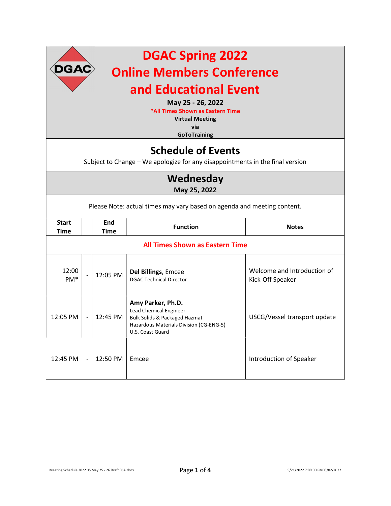| <b>DGAC Spring 2022</b><br>$\left(\textsf{DGAC}\right)$<br><b>Online Members Conference</b><br>and Educational Event<br>May 25 - 26, 2022<br>*All Times Shown as Eastern Time<br><b>Virtual Meeting</b><br>via<br><b>GoToTraining</b> |                          |                           |                                                                                                                                                        |                                                 |  |
|---------------------------------------------------------------------------------------------------------------------------------------------------------------------------------------------------------------------------------------|--------------------------|---------------------------|--------------------------------------------------------------------------------------------------------------------------------------------------------|-------------------------------------------------|--|
| <b>Schedule of Events</b><br>Subject to Change - We apologize for any disappointments in the final version                                                                                                                            |                          |                           |                                                                                                                                                        |                                                 |  |
| Wednesday<br>May 25, 2022                                                                                                                                                                                                             |                          |                           |                                                                                                                                                        |                                                 |  |
| Please Note: actual times may vary based on agenda and meeting content.                                                                                                                                                               |                          |                           |                                                                                                                                                        |                                                 |  |
| <b>Start</b><br><b>Time</b>                                                                                                                                                                                                           |                          | <b>End</b><br><b>Time</b> | <b>Function</b>                                                                                                                                        | <b>Notes</b>                                    |  |
| <b>All Times Shown as Eastern Time</b>                                                                                                                                                                                                |                          |                           |                                                                                                                                                        |                                                 |  |
| 12:00<br>PM <sup>*</sup>                                                                                                                                                                                                              |                          | 12:05 PM                  | Del Billings, Emcee<br><b>DGAC Technical Director</b>                                                                                                  | Welcome and Introduction of<br>Kick-Off Speaker |  |
| 12:05 PM                                                                                                                                                                                                                              | $\overline{\phantom{a}}$ | 12:45 PM                  | Amy Parker, Ph.D.<br>Lead Chemical Engineer<br><b>Bulk Solids &amp; Packaged Hazmat</b><br>Hazardous Materials Division (CG-ENG-5)<br>U.S. Coast Guard | USCG/Vessel transport update                    |  |
| 12:45 PM                                                                                                                                                                                                                              |                          | 12:50 PM                  | Emcee                                                                                                                                                  | <b>Introduction of Speaker</b>                  |  |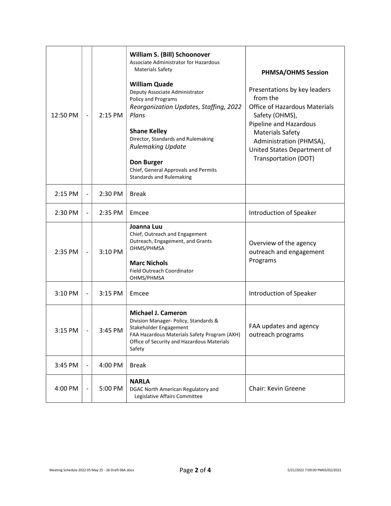| 12:50 PM | $\qquad \qquad \blacksquare$ | 2:15 PM | William S. (Bill) Schoonover<br>Associate Administrator for Hazardous<br><b>Materials Safety</b><br><b>William Quade</b><br>Deputy Associate Administrator<br>Policy and Programs<br>Reorganization Updates, Staffing, 2022<br>Plans<br><b>Shane Kelley</b><br>Director, Standards and Rulemaking<br><b>Rulemaking Update</b><br>Don Burger<br>Chief, General Approvals and Permits<br><b>Standards and Rulemaking</b> | <b>PHMSA/OHMS Session</b><br>Presentations by key leaders<br>from the<br><b>Office of Hazardous Materials</b><br>Safety (OHMS),<br>Pipeline and Hazardous<br><b>Materials Safety</b><br>Administration (PHMSA),<br>United States Department of<br>Transportation (DOT) |
|----------|------------------------------|---------|------------------------------------------------------------------------------------------------------------------------------------------------------------------------------------------------------------------------------------------------------------------------------------------------------------------------------------------------------------------------------------------------------------------------|------------------------------------------------------------------------------------------------------------------------------------------------------------------------------------------------------------------------------------------------------------------------|
| 2:15 PM  | $\overline{\phantom{a}}$     | 2:30 PM | <b>Break</b>                                                                                                                                                                                                                                                                                                                                                                                                           |                                                                                                                                                                                                                                                                        |
| 2:30 PM  | $\overline{\phantom{a}}$     | 2:35 PM | Emcee                                                                                                                                                                                                                                                                                                                                                                                                                  | Introduction of Speaker                                                                                                                                                                                                                                                |
| 2:35 PM  | $\qquad \qquad -$            | 3:10 PM | Joanna Luu<br>Chief, Outreach and Engagement<br>Outreach, Engagement, and Grants<br>OHMS/PHMSA<br><b>Marc Nichols</b><br>Field Outreach Coordinator<br>OHMS/PHMSA                                                                                                                                                                                                                                                      | Overview of the agency<br>outreach and engagement<br>Programs                                                                                                                                                                                                          |
| 3:10 PM  | $\blacksquare$               | 3:15 PM | Emcee                                                                                                                                                                                                                                                                                                                                                                                                                  | Introduction of Speaker                                                                                                                                                                                                                                                |
| 3:15 PM  |                              | 3:45 PM | <b>Michael J. Cameron</b><br>Division Manager- Policy, Standards &<br>Stakeholder Engagement<br>FAA Hazardous Materials Safety Program (AXH)<br>Office of Security and Hazardous Materials<br>Safety                                                                                                                                                                                                                   | FAA updates and agency<br>outreach programs                                                                                                                                                                                                                            |
| 3:45 PM  | $\overline{\phantom{a}}$     | 4:00 PM | <b>Break</b>                                                                                                                                                                                                                                                                                                                                                                                                           |                                                                                                                                                                                                                                                                        |
| 4:00 PM  | $\overline{\phantom{a}}$     | 5:00 PM | <b>NARLA</b><br>DGAC North American Regulatory and<br>Legislative Affairs Committee                                                                                                                                                                                                                                                                                                                                    | Chair: Kevin Greene                                                                                                                                                                                                                                                    |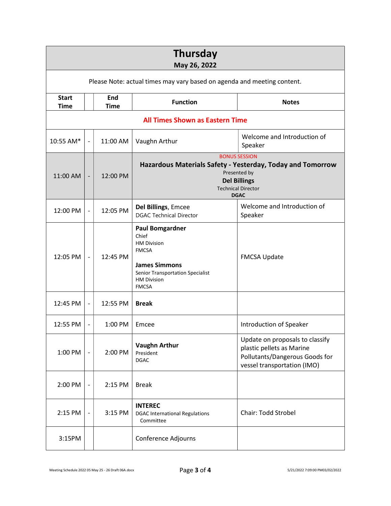| <b>Thursday</b><br>May 26, 2022                                         |                              |                           |                                                                                                                                                                                |                                                                                                                               |  |
|-------------------------------------------------------------------------|------------------------------|---------------------------|--------------------------------------------------------------------------------------------------------------------------------------------------------------------------------|-------------------------------------------------------------------------------------------------------------------------------|--|
| Please Note: actual times may vary based on agenda and meeting content. |                              |                           |                                                                                                                                                                                |                                                                                                                               |  |
| <b>Start</b><br><b>Time</b>                                             |                              | <b>End</b><br><b>Time</b> | <b>Function</b>                                                                                                                                                                | <b>Notes</b>                                                                                                                  |  |
| <b>All Times Shown as Eastern Time</b>                                  |                              |                           |                                                                                                                                                                                |                                                                                                                               |  |
| 10:55 AM*                                                               | $\qquad \qquad \blacksquare$ | 11:00 AM                  | Vaughn Arthur                                                                                                                                                                  | Welcome and Introduction of<br>Speaker                                                                                        |  |
| 11:00 AM                                                                | $\overline{\phantom{0}}$     | 12:00 PM                  | <b>BONUS SESSION</b><br>Hazardous Materials Safety - Yesterday, Today and Tomorrow<br>Presented by<br><b>Del Billings</b><br><b>Technical Director</b><br><b>DGAC</b>          |                                                                                                                               |  |
| 12:00 PM                                                                | $\overline{\phantom{a}}$     | 12:05 PM                  | Del Billings, Emcee<br><b>DGAC Technical Director</b>                                                                                                                          | Welcome and Introduction of<br>Speaker                                                                                        |  |
| 12:05 PM                                                                | $\overline{\phantom{a}}$     | 12:45 PM                  | <b>Paul Bomgardner</b><br>Chief<br><b>HM Division</b><br><b>FMCSA</b><br><b>James Simmons</b><br><b>Senior Transportation Specialist</b><br><b>HM Division</b><br><b>FMCSA</b> | <b>FMCSA Update</b>                                                                                                           |  |
| 12:45 PM                                                                | $\overline{\phantom{a}}$     | 12:55 PM                  | <b>Break</b>                                                                                                                                                                   |                                                                                                                               |  |
| 12:55 PM                                                                | $\overline{\phantom{a}}$     | 1:00 PM                   | Emcee                                                                                                                                                                          | Introduction of Speaker                                                                                                       |  |
| 1:00 PM                                                                 |                              | 2:00 PM                   | <b>Vaughn Arthur</b><br>President<br><b>DGAC</b>                                                                                                                               | Update on proposals to classify<br>plastic pellets as Marine<br>Pollutants/Dangerous Goods for<br>vessel transportation (IMO) |  |
| 2:00 PM                                                                 | $\qquad \qquad \blacksquare$ | 2:15 PM                   | <b>Break</b>                                                                                                                                                                   |                                                                                                                               |  |
| 2:15 PM                                                                 |                              | 3:15 PM                   | <b>INTEREC</b><br><b>DGAC International Regulations</b><br>Committee                                                                                                           | Chair: Todd Strobel                                                                                                           |  |
| 3:15PM                                                                  |                              |                           | Conference Adjourns                                                                                                                                                            |                                                                                                                               |  |